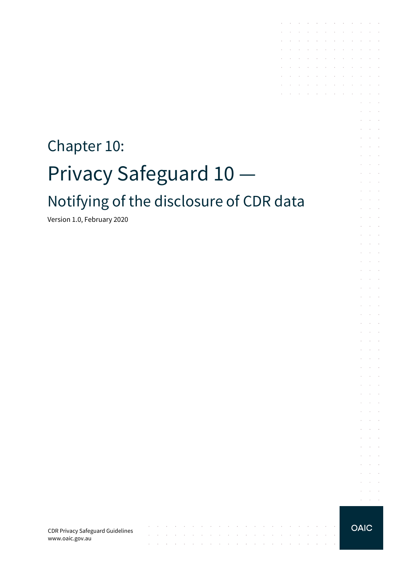# Chapter 10: Privacy Safeguard 10 Notifying of the disclosure of CDR data

contract and a state of

 $\sim$ 

the contract of the contract of the contract of the contract of the contract of

 $\sim 10$ 

the contract of the contract of the contract of

Version 1.0, February 2020

CDR Privacy Safeguard Guidelines www.oaic.gov.au

**OAIC** 

 $\sim$ 

**Service**  $\alpha = 1, \ldots, n$ 

the contract of the contract of the contract of

and the company of the company of the

**Carl Carl Carl** 

 $\sim$ 

 $\sim$ 

÷. and a state

 $\mathcal{L}$  $\bar{z}$  $\sim$ 

 $\mathcal{L}$  $\alpha$  and  $\alpha$ 

 $\epsilon$  $\sim 10^{-1}$ 

÷  $\sim$ 

V.  $\mathcal{L}^{\text{max}}$ 

 $\sim$  $\sim 10^{-1}$  .  $\sim 10^{-11}$  .

s.  $\mathcal{L}$  $\sim$  $\alpha$  and  $\alpha$  $\mathcal{L}^{\text{max}}$ 

 $\sim$  $\sim 10^{-10}$  km

 $\mathcal{L}^{\mathcal{L}}$  $\sim 10^{-1}$  m  $^{-1}$ 

 $\mathcal{L}$ **Contractor** and the control

 $\sim$  $\alpha$  and  $\alpha$ 

 $\sim$  $\sim 10^{-11}$  .

 $\sim$  $\sim 10^{-11}$  . and a state

 $\sim$  $\sim$  $\sim$ 

and a state  $\mathcal{L}^{\text{max}}$  and  $\mathcal{L}^{\text{max}}$ 

 $\mathcal{L}^{\mathcal{A}}$  . The set of the set of the set of the set of the set of  $\mathcal{L}^{\mathcal{A}}$  $\mathcal{L}^{\text{max}}$ 

the contract of the contract of the  $\mathcal{A}^{\mathcal{A}}$  , and  $\mathcal{A}^{\mathcal{A}}$  , and  $\mathcal{A}^{\mathcal{A}}$  , and  $\mathcal{A}^{\mathcal{A}}$  , and  $\mathcal{A}^{\mathcal{A}}$ 

 $\mathcal{L}^{\mathcal{A}}$  . The set of the set of the set of the set of  $\mathcal{L}^{\mathcal{A}}$ and the state of the state of

the control of the control of

 $\sim$ 

 $\mathcal{L}$ 

÷.

t.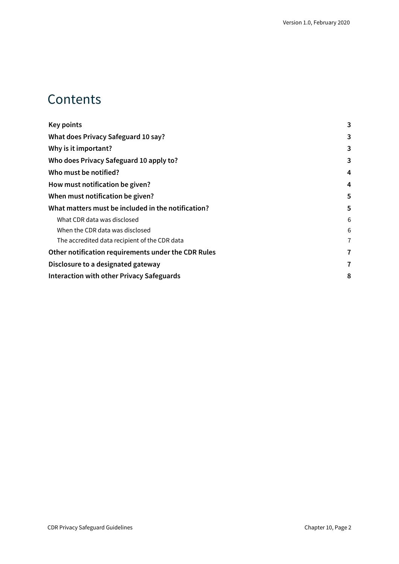#### **Contents**

| <b>Key points</b>                                   | 3 |
|-----------------------------------------------------|---|
| What does Privacy Safeguard 10 say?                 | 3 |
| Why is it important?                                | 3 |
| Who does Privacy Safeguard 10 apply to?             | 3 |
| Who must be notified?                               | 4 |
| How must notification be given?                     | 4 |
| When must notification be given?                    | 5 |
| What matters must be included in the notification?  | 5 |
| What CDR data was disclosed                         | 6 |
| When the CDR data was disclosed                     | 6 |
| The accredited data recipient of the CDR data       | 7 |
| Other notification requirements under the CDR Rules | 7 |
| Disclosure to a designated gateway                  | 7 |
| Interaction with other Privacy Safeguards           | 8 |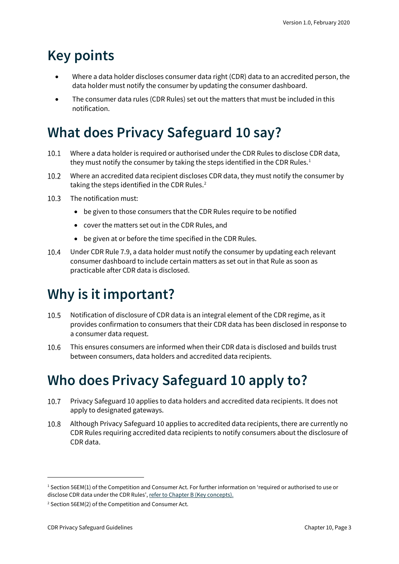# <span id="page-2-0"></span>**Key points**

- Where a data holder discloses consumer data right (CDR) data to an accredited person, the data holder must notify the consumer by updating the consumer dashboard.
- The consumer data rules (CDR Rules) set out the matters that must be included in this notification.

# <span id="page-2-1"></span>**What does Privacy Safeguard 10 say?**

- Where a data holder is required or authorised under the CDR Rules to disclose CDR data,  $10.1$ they must notify the consumer by taking the steps identified in the CDR Rules.<sup>[1](#page-2-4)</sup>
- $10.2$ Where an accredited data recipient discloses CDR data, they must notify the consumer by taking the steps identified in the CDR Rules.<sup>[2](#page-2-5)</sup>
- $10.3$ The notification must:
	- be given to those consumers that the CDR Rules require to be notified
	- cover the matters set out in the CDR Rules, and
	- be given at or before the time specified in the CDR Rules.
- $10.4$ Under CDR Rule 7.9, a data holder must notify the consumer by updating each relevant consumer dashboard to include certain matters as set out in that Rule as soon as practicable after CDR data is disclosed.

# <span id="page-2-2"></span>**Why is it important?**

- 10.5 Notification of disclosure of CDR data is an integral element of the CDR regime, as it provides confirmation to consumers that their CDR data has been disclosed in response to a consumer data request.
- 10.6 This ensures consumers are informed when their CDR data is disclosed and builds trust between consumers, data holders and accredited data recipients.

### <span id="page-2-3"></span>**Who does Privacy Safeguard 10 apply to?**

- $10.7$ Privacy Safeguard 10 applies to data holders and accredited data recipients. It does not apply to designated gateways.
- 10.8 Although Privacy Safeguard 10 applies to accredited data recipients, there are currently no CDR Rules requiring accredited data recipients to notify consumers about the disclosure of CDR data.

<span id="page-2-4"></span><sup>1</sup> Section 56EM(1) of the Competition and Consumer Act. For further information on 'required or authorised to use or disclose CDR data under the CDR Rules'[, refer to Chapter B \(Key concepts\).](https://www.oaic.gov.au/consumer-data-right/cdr-privacy-safeguard-guidelines/chapter-b-key-concepts)

<span id="page-2-5"></span><sup>2</sup> Section 56EM(2) of the Competition and Consumer Act.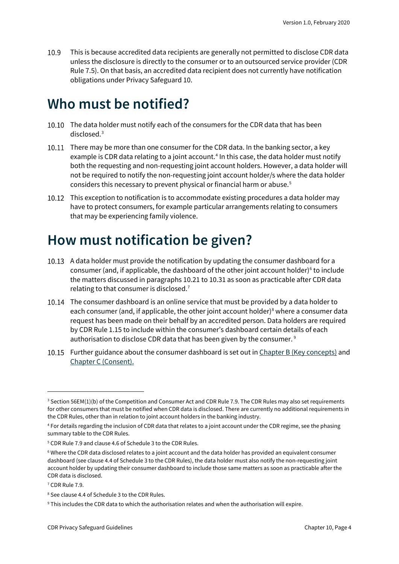10.9 This is because accredited data recipients are generally not permitted to disclose CDR data unless the disclosure is directly to the consumer or to an outsourced service provider (CDR Rule 7.5). On that basis, an accredited data recipient does not currently have notification obligations under Privacy Safeguard 10.

#### <span id="page-3-0"></span>**Who must be notified?**

- 10.10 The data holder must notify each of the consumers for the CDR data that has been disclosed.[3](#page-3-2)
- 10.11 There may be more than one consumer for the CDR data. In the banking sector, a key example is CDR data relating to a joint account.<sup>[4](#page-3-3)</sup> In this case, the data holder must notify both the requesting and non-requesting joint account holders. However, a data holder will not be required to notify the non-requesting joint account holder/s where the data holder considers this necessary to prevent physical or financial harm or abuse.[5](#page-3-4)
- 10.12 This exception to notification is to accommodate existing procedures a data holder may have to protect consumers, for example particular arrangements relating to consumers that may be experiencing family violence.

#### <span id="page-3-1"></span>**How must notification be given?**

- 10.13 A data holder must provide the notification by updating the consumer dashboard for a consumer (and, if applicable, the dashboard of the other joint account holder) $6$  to include the matters discussed in paragraphs 10.21 to 10.31 as soon as practicable after CDR data relating to that consumer is disclosed.<sup>[7](#page-3-6)</sup>
- 10.14 The consumer dashboard is an online service that must be provided by a data holder to each consumer (and, if applicable, the other joint account holder)<sup>[8](#page-3-7)</sup> where a consumer data request has been made on their behalf by an accredited person. Data holders are required by CDR Rule 1.15 to include within the consumer's dashboard certain details of each authorisation to disclose CDR data that has been given by the consumer. [9](#page-3-8)
- 10.15 Further guidance about the consumer dashboard is set out i[n Chapter B \(Key concepts\)](https://www.oaic.gov.au/consumer-data-right/cdr-privacy-safeguard-guidelines/chapter-b-key-concepts) and [Chapter C \(Consent\).](https://www.oaic.gov.au/consumer-data-right/cdr-privacy-safeguard-guidelines/chapter-c-consent-the-basis-for-collecting-and-using-cdr-data)

<span id="page-3-2"></span><sup>&</sup>lt;sup>3</sup> Section 56EM(1)(b) of the Competition and Consumer Act and CDR Rule 7.9. The CDR Rules may also set requirements for other consumers that must be notified when CDR data is disclosed. There are currently no additional requirements in the CDR Rules, other than in relation to joint account holders in the banking industry.

<span id="page-3-3"></span><sup>4</sup> For details regarding the inclusion of CDR data that relates to a joint account under the CDR regime, see the phasing summary table to the CDR Rules.

<span id="page-3-4"></span><sup>5</sup> CDR Rule 7.9 and clause 4.6 of Schedule 3 to the CDR Rules.

<span id="page-3-5"></span><sup>6</sup> Where the CDR data disclosed relates to a joint account and the data holder has provided an equivalent consumer dashboard (see clause 4.4 of Schedule 3 to the CDR Rules), the data holder must also notify the non-requesting joint account holder by updating their consumer dashboard to include those same matters as soon as practicable after the CDR data is disclosed.

<span id="page-3-6"></span><sup>7</sup> CDR Rule 7.9.

<span id="page-3-7"></span><sup>8</sup> See clause 4.4 of Schedule 3 to the CDR Rules.

<span id="page-3-8"></span><sup>9</sup> This includes the CDR data to which the authorisation relates and when the authorisation will expire.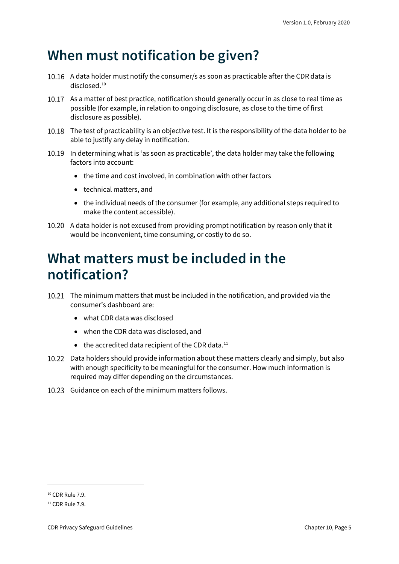### <span id="page-4-0"></span>**When must notification be given?**

- 10.16 A data holder must notify the consumer/s as soon as practicable after the CDR data is disclosed. [10](#page-4-2)
- 10.17 As a matter of best practice, notification should generally occur in as close to real time as possible (for example, in relation to ongoing disclosure, as close to the time of first disclosure as possible).
- 10.18 The test of practicability is an objective test. It is the responsibility of the data holder to be able to justify any delay in notification.
- 10.19 In determining what is 'as soon as practicable', the data holder may take the following factors into account:
	- the time and cost involved, in combination with other factors
	- technical matters, and
	- the individual needs of the consumer (for example, any additional steps required to make the content accessible).
- 10.20 A data holder is not excused from providing prompt notification by reason only that it would be inconvenient, time consuming, or costly to do so.

#### <span id="page-4-1"></span>**What matters must be included in the notification?**

- The minimum matters that must be included in the notification, and provided via the consumer's dashboard are:
	- what CDR data was disclosed
	- when the CDR data was disclosed, and
	- $\bullet$  the accredited data recipient of the CDR data.<sup>[11](#page-4-3)</sup>
- 10.22 Data holders should provide information about these matters clearly and simply, but also with enough specificity to be meaningful for the consumer. How much information is required may differ depending on the circumstances.
- 10.23 Guidance on each of the minimum matters follows.

<span id="page-4-2"></span><sup>10</sup> CDR Rule 7.9.

<span id="page-4-3"></span> $11$  CDR Rule 7.9.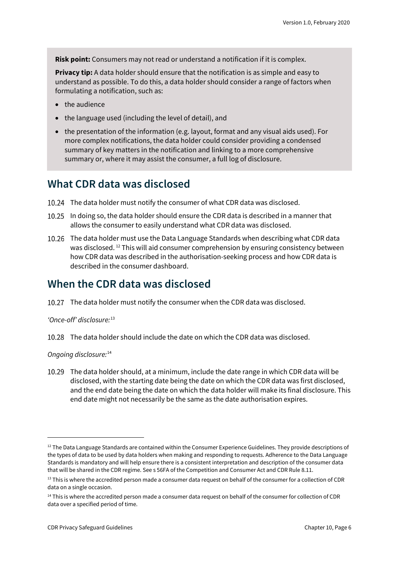**Risk point:** Consumers may not read or understand a notification if it is complex.

**Privacy tip:** A data holder should ensure that the notification is as simple and easy to understand as possible. To do this, a data holder should consider a range of factors when formulating a notification, such as:

- the audience
- the language used (including the level of detail), and
- the presentation of the information (e.g. layout, format and any visual aids used). For more complex notifications, the data holder could consider providing a condensed summary of key matters in the notification and linking to a more comprehensive summary or, where it may assist the consumer, a full log of disclosure.

#### <span id="page-5-0"></span>**What CDR data was disclosed**

- The data holder must notify the consumer of what CDR data was disclosed.
- In doing so, the data holder should ensure the CDR data is described in a manner that allows the consumer to easily understand what CDR data was disclosed.
- The data holder must use the Data Language Standards when describing what CDR data was disclosed. [12](#page-5-2) This will aid consumer comprehension by ensuring consistency between how CDR data was described in the authorisation-seeking process and how CDR data is described in the consumer dashboard.

#### <span id="page-5-1"></span>**When the CDR data was disclosed**

10.27 The data holder must notify the consumer when the CDR data was disclosed.

#### *'Once-off' disclosure:*[13](#page-5-3)

The data holder should include the date on which the CDR data was disclosed.

*Ongoing disclosure:* [14](#page-5-4)

The data holder should, at a minimum, include the date range in which CDR data will be disclosed, with the starting date being the date on which the CDR data was first disclosed, and the end date being the date on which the data holder will make its final disclosure. This end date might not necessarily be the same as the date authorisation expires.

<span id="page-5-2"></span> $12$  The Data Language Standards are contained within the Consumer Experience Guidelines. They provide descriptions of the types of data to be used by data holders when making and responding to requests. Adherence to the Data Language Standards is mandatory and will help ensure there is a consistent interpretation and description of the consumer data that will be shared in the CDR regime. See s 56FA of the Competition and Consumer Act and CDR Rule 8.11.

<span id="page-5-3"></span><sup>&</sup>lt;sup>13</sup> This is where the accredited person made a consumer data request on behalf of the consumer for a collection of CDR data on a single occasion.

<span id="page-5-4"></span> $14$  This is where the accredited person made a consumer data request on behalf of the consumer for collection of CDR data over a specified period of time.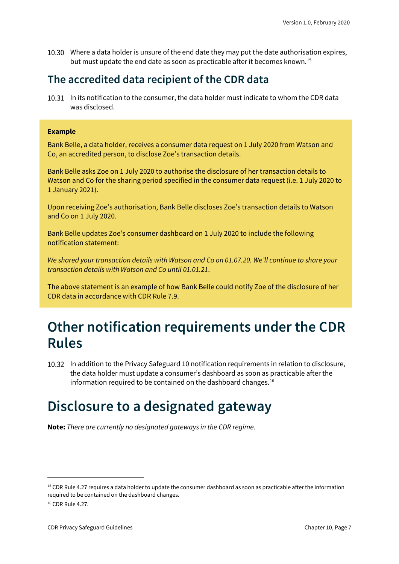Where a data holder is unsure of the end date they may put the date authorisation expires, but must update the end date as soon as practicable after it becomes known. [15](#page-6-3)

#### <span id="page-6-0"></span>**The accredited data recipient of the CDR data**

10.31 In its notification to the consumer, the data holder must indicate to whom the CDR data was disclosed.

#### **Example**

Bank Belle, a data holder, receives a consumer data request on 1 July 2020 from Watson and Co, an accredited person, to disclose Zoe's transaction details.

Bank Belle asks Zoe on 1 July 2020 to authorise the disclosure of her transaction details to Watson and Co for the sharing period specified in the consumer data request (i.e. 1 July 2020 to 1 January 2021).

Upon receiving Zoe's authorisation, Bank Belle discloses Zoe's transaction details to Watson and Co on 1 July 2020.

Bank Belle updates Zoe's consumer dashboard on 1 July 2020 to include the following notification statement:

*We shared your transaction details with Watson and Co on 01.07.20. We'll continue to share your transaction details with Watson and Co until 01.01.21*.

The above statement is an example of how Bank Belle could notify Zoe of the disclosure of her CDR data in accordance with CDR Rule 7.9.

#### <span id="page-6-1"></span>**Other notification requirements under the CDR Rules**

In addition to the Privacy Safeguard 10 notification requirements in relation to disclosure, the data holder must update a consumer's dashboard as soon as practicable after the information required to be contained on the dashboard changes.<sup>[16](#page-6-4)</sup>

#### <span id="page-6-2"></span>**Disclosure to a designated gateway**

**Note:** *There are currently no designated gateways in the CDR regime.*

<span id="page-6-3"></span><sup>&</sup>lt;sup>15</sup> CDR Rule 4.27 requires a data holder to update the consumer dashboard as soon as practicable after the information required to be contained on the dashboard changes.

<span id="page-6-4"></span><sup>16</sup> CDR Rule 4.27.